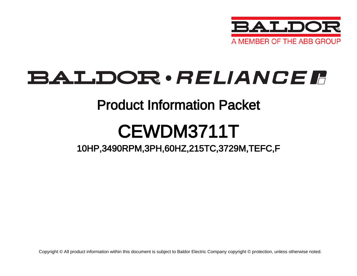

## **BALDOR**·RELIANCER

### Product Information Packet

# CEWDM3711T

### 10HP,3490RPM,3PH,60HZ,215TC,3729M,TEFC,F

Copyright © All product information within this document is subject to Baldor Electric Company copyright © protection, unless otherwise noted.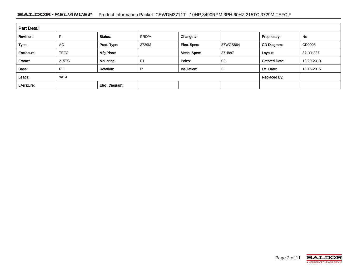#### BALDOR · RELIANCE F Product Information Packet: CEWDM3711T - 10HP,3490RPM,3PH,60HZ,215TC,3729M,TEFC,F

| <b>Part Detail</b> |             |                  |                |             |          |                      |            |  |  |  |
|--------------------|-------------|------------------|----------------|-------------|----------|----------------------|------------|--|--|--|
| Revision:          | P           | Status:          | PRD/A          | Change #:   |          | Proprietary:         | No         |  |  |  |
| Type:              | <b>AC</b>   | Prod. Type:      | 3729M          | Elec. Spec: | 37WGS864 | CD Diagram:          | CD0005     |  |  |  |
| Enclosure:         | <b>TEFC</b> | Mfg Plant:       |                | Mech. Spec: | 37H887   | Layout:              | 37LYH887   |  |  |  |
| Frame:             | 215TC       | Mounting:        | F <sub>1</sub> | Poles:      | 02       | <b>Created Date:</b> | 12-29-2010 |  |  |  |
| Base:              | <b>RG</b>   | <b>Rotation:</b> | R              | Insulation: |          | Eff. Date:           | 10-15-2015 |  |  |  |
| Leads:             | 9#14        |                  |                |             |          | <b>Replaced By:</b>  |            |  |  |  |
| Literature:        |             | Elec. Diagram:   |                |             |          |                      |            |  |  |  |

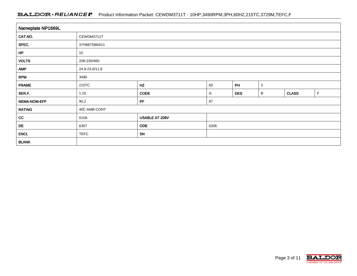#### BALDOR · RELIANCE F Product Information Packet: CEWDM3711T - 10HP,3490RPM,3PH,60HZ,215TC,3729M,TEFC,F

| Nameplate NP1669L |                |                |      |            |              |              |             |  |  |  |  |  |
|-------------------|----------------|----------------|------|------------|--------------|--------------|-------------|--|--|--|--|--|
| CAT.NO.           | CEWDM3711T     |                |      |            |              |              |             |  |  |  |  |  |
| SPEC.             | 37H887S864G1   |                |      |            |              |              |             |  |  |  |  |  |
| HP                | 10             |                |      |            |              |              |             |  |  |  |  |  |
| <b>VOLTS</b>      | 208-230/460    |                |      |            |              |              |             |  |  |  |  |  |
| <b>AMP</b>        | 24.9-23.6/11.8 |                |      |            |              |              |             |  |  |  |  |  |
| <b>RPM</b>        | 3490           |                |      |            |              |              |             |  |  |  |  |  |
| <b>FRAME</b>      | 215TC          | HZ             | 60   | PH         | $\mathbf{3}$ |              |             |  |  |  |  |  |
| SER.F.            | 1.15           | <b>CODE</b>    | G    | <b>DES</b> | B            | <b>CLASS</b> | $\mathsf F$ |  |  |  |  |  |
| NEMA-NOM-EFF      | 90.2           | PF             | 87   |            |              |              |             |  |  |  |  |  |
| <b>RATING</b>     | 40C AMB-CONT   |                |      |            |              |              |             |  |  |  |  |  |
| cc                | 010A           | USABLE AT 208V |      |            |              |              |             |  |  |  |  |  |
| DE                | 6307           | <b>ODE</b>     | 6206 |            |              |              |             |  |  |  |  |  |
| <b>ENCL</b>       | <b>TEFC</b>    | SN             |      |            |              |              |             |  |  |  |  |  |
| <b>BLANK</b>      |                |                |      |            |              |              |             |  |  |  |  |  |

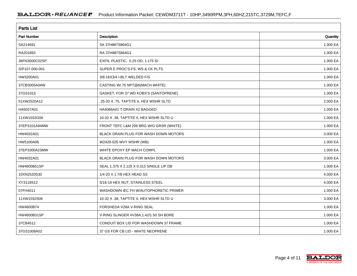| <b>Parts List</b>  |                                          |          |  |  |  |  |  |
|--------------------|------------------------------------------|----------|--|--|--|--|--|
| <b>Part Number</b> | Description                              | Quantity |  |  |  |  |  |
| SA214691           | SA 37H887S864G1                          | 1.000 EA |  |  |  |  |  |
| RA201893           | RA 37H887S864G1                          | 1.000 EA |  |  |  |  |  |
| 36FN3000C02SP      | EXFN, PLASTIC, 5.25 OD, 1.175 ID         | 1.000 EA |  |  |  |  |  |
| S/P107-000-001     | SUPER E PROC'S-FS, WS & CK PLTS          | 1.000 EA |  |  |  |  |  |
| HW3200A01          | 3/8-16X3/4 I-BLT WELDED F/S              | 1.000 EA |  |  |  |  |  |
| 37CB3005A04W       | CASTING W/.75 NPT@6(MACH WHITE)          | 1.000 EA |  |  |  |  |  |
| 37GS1015           | GASKET, FOR 37 WD KOBX'S (SANTOPRENE)    | 1.000 EA |  |  |  |  |  |
| 51XW2520A12        | .25-20 X .75, TAPTITE II, HEX WSHR SLTD  | 2.000 EA |  |  |  |  |  |
| HA5027A01          | HA4066A01 T-DRAIN X2 BAGGED              | 1.000 EA |  |  |  |  |  |
| 11XW1032G06        | 10-32 X .38, TAPTITE II, HEX WSHR SLTD U | 1.000 EA |  |  |  |  |  |
| 37EP3101A94MW      | FRONT TEFC L&M 206 BRG W/O GRSR (WHITE)  | 1.000 EA |  |  |  |  |  |
| HW4032A01          | BLACK DRAIN PLUG FOR WASH DOWN MOTORS    | 3.000 EA |  |  |  |  |  |
| HW5100A06          | W2420-025 WVY WSHR (WB)                  | 1.000 EA |  |  |  |  |  |
| 37EP3300A23MW      | WHITE EPOXY EP MACH COMPL                | 1.000 EA |  |  |  |  |  |
| HW4032A01          | BLACK DRAIN PLUG FOR WASH DOWN MOTORS    | 3.000 EA |  |  |  |  |  |
| HW4600B51SP        | SEAL 1.375 X 2.125 X 0.313 SINGLE LIP DB | 1.000 EA |  |  |  |  |  |
| 10XN2520S30        | 1/4-20 X 1 7/8 HEX HEAD SS               | 4.000 EA |  |  |  |  |  |
| XY3118S12          | 5/16-18 HEX NUT, STAINLESS STEEL         | 4.000 EA |  |  |  |  |  |
| 07FH4011           | WASHDOWN IEC FH W/AUTOPHORETIC PRIMER    | 1.000 EA |  |  |  |  |  |
| 11XW1032S06        | 10-32 X .38, TAPTITE II, HEX WSHR SLTD U | 3.000 EA |  |  |  |  |  |
| HW4600B74          | FORSHEDA V28A V-RING SEAL                | 1.000 EA |  |  |  |  |  |
| HW4600B31SP        | V-RING SLINGER #V38A, 1.42/1.50 SH BORE  | 1.000 EA |  |  |  |  |  |
| 37CB4512           | CONDUIT BOX LID FOR WASHDOWN 37 FRAME    | 1.000 EA |  |  |  |  |  |
| 37GS1008A02        | 37 GS FOR CB LID - WHITE NEOPRENE        | 1.000 EA |  |  |  |  |  |

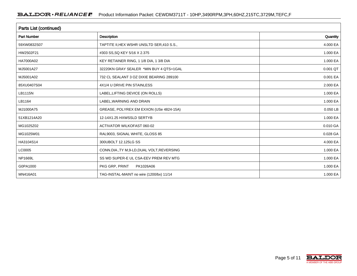| Parts List (continued) |                                             |          |  |  |  |  |  |
|------------------------|---------------------------------------------|----------|--|--|--|--|--|
| <b>Part Number</b>     | <b>Description</b>                          | Quantity |  |  |  |  |  |
| 59XW0832S07            | TAPTITE II, HEX WSHR UNSLTD SER, 410 S.S.,  | 4.000 EA |  |  |  |  |  |
| HW2502F21              | #303 SS, SQ KEY 5/16 X 2.375                | 1.000 EA |  |  |  |  |  |
| HA7000A02              | KEY RETAINER RING, 1 1/8 DIA, 1 3/8 DIA     | 1.000 EA |  |  |  |  |  |
| MJ5001A27              | 32220KN GRAY SEALER *MIN BUY 4 QTS=1GAL     | 0.001 QT |  |  |  |  |  |
| MJ5001A02              | 732 CL SEALANT 3 OZ DIXIE BEARING 289100    | 0.001 EA |  |  |  |  |  |
| 85XU0407S04            | 4X1/4 U DRIVE PIN STAINLESS                 | 2.000 EA |  |  |  |  |  |
| LB1115N                | LABEL, LIFTING DEVICE (ON ROLLS)            | 1.000 EA |  |  |  |  |  |
| LB1164                 | LABEL, WARNING AND DRAIN                    | 1.000 EA |  |  |  |  |  |
| MJ1000A75              | GREASE, POLYREX EM EXXON (USe 4824-15A)     | 0.050 LB |  |  |  |  |  |
| 51XB1214A20            | 12-14X1.25 HXWSSLD SERTYB                   | 1.000 EA |  |  |  |  |  |
| MG1025Z02              | <b>ACTIVATOR WILKOFAST 060-02</b>           | 0.010 GA |  |  |  |  |  |
| MG1025W01              | RAL9003, SIGNAL WHITE, GLOSS 85             | 0.028 GA |  |  |  |  |  |
| HA3104S14              | 300UBOLT 12.125LG SS                        | 4.000 EA |  |  |  |  |  |
| LC0005                 | CONN.DIA., TY M, 9-LD, DUAL VOLT, REVERSING | 1.000 EA |  |  |  |  |  |
| NP1669L                | SS WD SUPER-E UL CSA-EEV PREM REV MTG       | 1.000 EA |  |  |  |  |  |
| G0PA1000               | PKG GRP, PRINT<br>PK1026A06                 | 1.000 EA |  |  |  |  |  |
| MN416A01               | TAG-INSTAL-MAINT no wire (1200/bx) 11/14    | 1.000 EA |  |  |  |  |  |

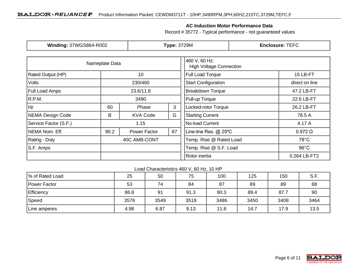#### **AC Induction Motor Performance Data**

Record # 35772 - Typical performance - not guaranteed values

| <b>Winding: 37WGS864-R002</b> |                  | <b>Type: 3729M</b> |                                                 | <b>Enclosure: TEFC</b>     |                |  |
|-------------------------------|------------------|--------------------|-------------------------------------------------|----------------------------|----------------|--|
|                               | Nameplate Data   |                    | 460 V, 60 Hz:<br><b>High Voltage Connection</b> |                            |                |  |
| <b>Rated Output (HP)</b>      |                  | 10                 |                                                 | Full Load Torque           | 15 LB-FT       |  |
| <b>Volts</b>                  |                  | 230/460            |                                                 | <b>Start Configuration</b> | direct on line |  |
| <b>Full Load Amps</b>         | 23.6/11.8        |                    |                                                 | <b>Breakdown Torque</b>    | 47.2 LB-FT     |  |
| R.P.M.                        | 3490             |                    |                                                 | Pull-up Torque             | 22.6 LB-FT     |  |
| Hz                            | 3<br>60<br>Phase |                    |                                                 | Locked-rotor Torque        | 26.2 LB-FT     |  |
| NEMA Design Code<br>B         |                  | <b>KVA Code</b>    | G                                               | <b>Starting Current</b>    | 78.5 A         |  |
| Service Factor (S.F.)         | 1.15             |                    |                                                 | No-load Current            | 4.17 A         |  |
| NEMA Nom. Eff.                | 90.2             | Power Factor       | 87                                              | Line-line Res. @ 25°C      | $0.972 \Omega$ |  |
| Rating - Duty                 | 40C AMB-CONT     |                    | Temp. Rise @ Rated Load                         | $78^{\circ}$ C             |                |  |
| S.F. Amps                     |                  |                    |                                                 | Temp. Rise @ S.F. Load     | $96^{\circ}$ C |  |
|                               |                  |                    |                                                 | Rotor inertia              | 0.264 LB-FT2   |  |

#### Load Characteristics 460 V, 60 Hz, 10 HP

| % of Rated Load     | 25   | 50   | 75   | 100  | 125  | 150  | S.F. |
|---------------------|------|------|------|------|------|------|------|
| <b>Power Factor</b> | 53   | 74   | 84   | 87   | 89   | 89   | 88   |
| Efficiency          | 86.8 | 91   | 91.3 | 90.3 | 89.4 | 87.7 | 90   |
| Speed               | 3576 | 3549 | 3518 | 3486 | 3450 | 3408 | 3464 |
| Line amperes        | 4.98 | 6.87 | 9.13 | 11.8 | 14.7 | 17.9 | 13.5 |

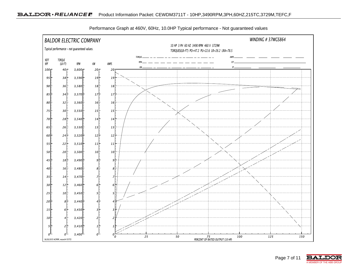

Performance Graph at 460V, 60Hz, 10.0HP Typical performance - Not guaranteed values

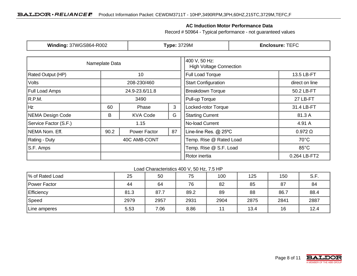#### **AC Induction Motor Performance Data**

Record # 50964 - Typical performance - not guaranteed values

| <b>Winding: 37WGS864-R002</b> |                           | <b>Type: 3729M</b> |                                                 | <b>Enclosure: TEFC</b>     |                |  |
|-------------------------------|---------------------------|--------------------|-------------------------------------------------|----------------------------|----------------|--|
|                               | Nameplate Data            |                    | 400 V, 50 Hz:<br><b>High Voltage Connection</b> |                            |                |  |
| Rated Output (HP)             |                           | 10                 |                                                 | Full Load Torque           | 13.5 LB-FT     |  |
| Volts                         |                           | 208-230/460        |                                                 | <b>Start Configuration</b> | direct on line |  |
| <b>Full Load Amps</b>         |                           | 24.9-23.6/11.8     |                                                 | <b>Breakdown Torque</b>    | 50.2 LB-FT     |  |
| R.P.M.                        | 3490                      |                    |                                                 | Pull-up Torque             | 27 LB-FT       |  |
| Hz                            | 3<br>60<br>Phase          |                    | Locked-rotor Torque                             | 31.4 LB-FT                 |                |  |
| NEMA Design Code              | G<br>B<br><b>KVA Code</b> |                    |                                                 | <b>Starting Current</b>    | 81.3 A         |  |
| Service Factor (S.F.)         | 1.15                      |                    |                                                 | No-load Current            | 4.91 A         |  |
| NEMA Nom. Eff.                | 90.2                      | Power Factor       | 87                                              | Line-line Res. @ 25°C      | $0.972 \Omega$ |  |
| Rating - Duty                 | 40C AMB-CONT              |                    | Temp. Rise @ Rated Load                         | $70^{\circ}$ C             |                |  |
| S.F. Amps                     |                           |                    |                                                 | Temp. Rise @ S.F. Load     | $85^{\circ}$ C |  |
|                               |                           |                    | Rotor inertia                                   | 0.264 LB-FT2               |                |  |

#### Load Characteristics 400 V, 50 Hz, 7.5 HP

| % of Rated Load | 25   | 50   | 75   | 100  | 125  | 150  | S.F. |
|-----------------|------|------|------|------|------|------|------|
| Power Factor    | 44   | 64   | 76   | 82   | 85   | 87   | 84   |
| Efficiency      | 81.3 | 87.7 | 89.2 | 89   | 88   | 86.7 | 88.4 |
| Speed           | 2979 | 2957 | 2931 | 2904 | 2875 | 2841 | 2887 |
| Line amperes    | 5.53 | 7.06 | 8.86 | 11   | 13.4 | 16   | 12.4 |

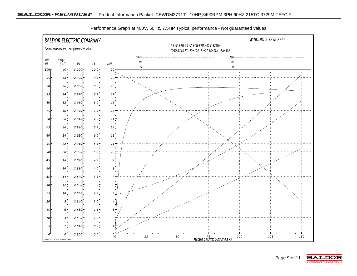

Performance Graph at 400V, 50Hz, 7.5HP Typical performance - Not guaranteed values

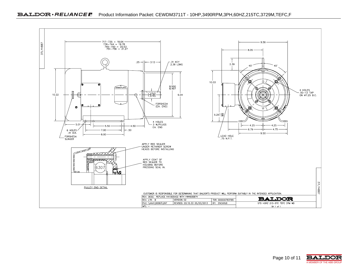